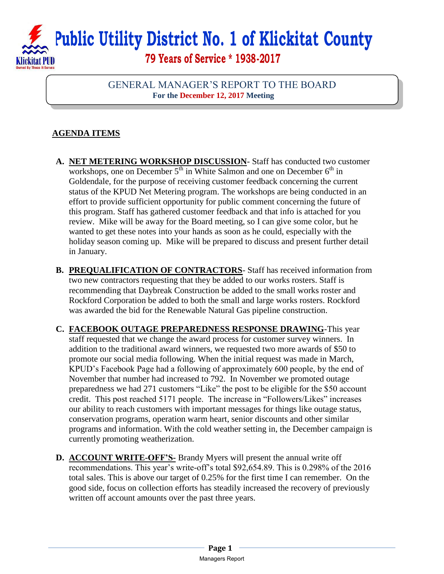

GENERAL MANAGER'S REPORT TO THE BOARD **For the December 12, 2017 Meeting**

## **AGENDA ITEMS**

- **A. NET METERING WORKSHOP DISCUSSION** Staff has conducted two customer workshops, one on December  $5<sup>th</sup>$  in White Salmon and one on December  $6<sup>th</sup>$  in Goldendale, for the purpose of receiving customer feedback concerning the current status of the KPUD Net Metering program. The workshops are being conducted in an effort to provide sufficient opportunity for public comment concerning the future of this program. Staff has gathered customer feedback and that info is attached for you review. Mike will be away for the Board meeting, so I can give some color, but he wanted to get these notes into your hands as soon as he could, especially with the holiday season coming up. Mike will be prepared to discuss and present further detail in January.
- **B. PREQUALIFICATION OF CONTRACTORS** Staff has received information from two new contractors requesting that they be added to our works rosters. Staff is recommending that Daybreak Construction be added to the small works roster and Rockford Corporation be added to both the small and large works rosters. Rockford was awarded the bid for the Renewable Natural Gas pipeline construction.
- **C. FACEBOOK OUTAGE PREPAREDNESS RESPONSE DRAWING**-This year staff requested that we change the award process for customer survey winners. In addition to the traditional award winners, we requested two more awards of \$50 to promote our social media following. When the initial request was made in March, KPUD's Facebook Page had a following of approximately 600 people, by the end of November that number had increased to 792. In November we promoted outage preparedness we had 271 customers "Like" the post to be eligible for the \$50 account credit. This post reached 5171 people. The increase in "Followers/Likes" increases our ability to reach customers with important messages for things like outage status, conservation programs, operation warm heart, senior discounts and other similar programs and information. With the cold weather setting in, the December campaign is currently promoting weatherization.
- **D. ACCOUNT WRITE-OFF'S-** Brandy Myers will present the annual write off recommendations. This year's write-off's total \$92,654.89. This is 0.298% of the 2016 total sales. This is above our target of 0.25% for the first time I can remember. On the good side, focus on collection efforts has steadily increased the recovery of previously written off account amounts over the past three years.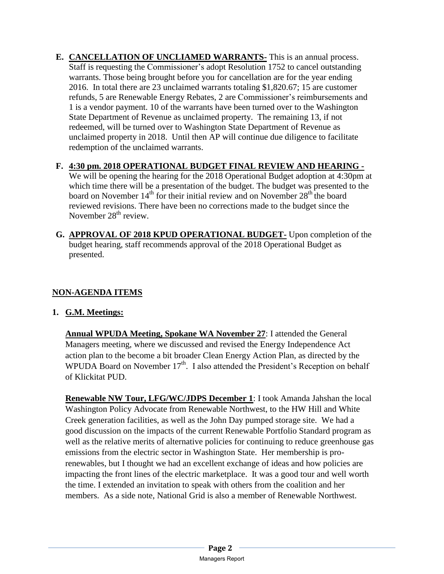- **E. CANCELLATION OF UNCLIAMED WARRANTS-** This is an annual process. Staff is requesting the Commissioner's adopt Resolution 1752 to cancel outstanding warrants. Those being brought before you for cancellation are for the year ending 2016. In total there are 23 unclaimed warrants totaling \$1,820.67; 15 are customer refunds, 5 are Renewable Energy Rebates, 2 are Commissioner's reimbursements and 1 is a vendor payment. 10 of the warrants have been turned over to the Washington State Department of Revenue as unclaimed property. The remaining 13, if not redeemed, will be turned over to Washington State Department of Revenue as unclaimed property in 2018. Until then AP will continue due diligence to facilitate redemption of the unclaimed warrants.
- **F. 4:30 pm. 2018 OPERATIONAL BUDGET FINAL REVIEW AND HEARING -**

We will be opening the hearing for the 2018 Operational Budget adoption at 4:30pm at which time there will be a presentation of the budget. The budget was presented to the board on November  $14<sup>th</sup>$  for their initial review and on November  $28<sup>th</sup>$  the board reviewed revisions. There have been no corrections made to the budget since the November  $28<sup>th</sup>$  review.

**G. APPROVAL OF 2018 KPUD OPERATIONAL BUDGET-** Upon completion of the budget hearing, staff recommends approval of the 2018 Operational Budget as presented.

## **NON-AGENDA ITEMS**

## **1. G.M. Meetings:**

**Annual WPUDA Meeting, Spokane WA November 27**: I attended the General Managers meeting, where we discussed and revised the Energy Independence Act action plan to the become a bit broader Clean Energy Action Plan, as directed by the WPUDA Board on November  $17<sup>th</sup>$ . I also attended the President's Reception on behalf of Klickitat PUD.

**Renewable NW Tour, LFG/WC/JDPS December 1**: I took Amanda Jahshan the local Washington Policy Advocate from Renewable Northwest, to the HW Hill and White Creek generation facilities, as well as the John Day pumped storage site. We had a good discussion on the impacts of the current Renewable Portfolio Standard program as well as the relative merits of alternative policies for continuing to reduce greenhouse gas emissions from the electric sector in Washington State. Her membership is prorenewables, but I thought we had an excellent exchange of ideas and how policies are impacting the front lines of the electric marketplace. It was a good tour and well worth the time. I extended an invitation to speak with others from the coalition and her members. As a side note, National Grid is also a member of Renewable Northwest.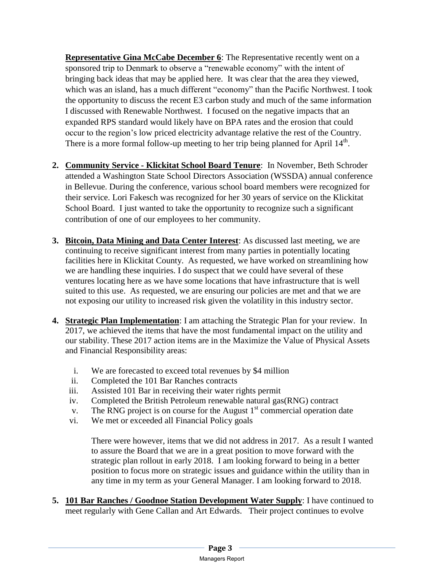**Representative Gina McCabe December 6**: The Representative recently went on a sponsored trip to Denmark to observe a "renewable economy" with the intent of bringing back ideas that may be applied here. It was clear that the area they viewed, which was an island, has a much different "economy" than the Pacific Northwest. I took the opportunity to discuss the recent E3 carbon study and much of the same information I discussed with Renewable Northwest. I focused on the negative impacts that an expanded RPS standard would likely have on BPA rates and the erosion that could occur to the region's low priced electricity advantage relative the rest of the Country. There is a more formal follow-up meeting to her trip being planned for April  $14<sup>th</sup>$ .

- **2. Community Service Klickitat School Board Tenure**: In November, Beth Schroder attended a Washington State School Directors Association (WSSDA) annual conference in Bellevue. During the conference, various school board members were recognized for their service. Lori Fakesch was recognized for her 30 years of service on the Klickitat School Board. I just wanted to take the opportunity to recognize such a significant contribution of one of our employees to her community.
- **3. Bitcoin, Data Mining and Data Center Interest**: As discussed last meeting, we are continuing to receive significant interest from many parties in potentially locating facilities here in Klickitat County. As requested, we have worked on streamlining how we are handling these inquiries. I do suspect that we could have several of these ventures locating here as we have some locations that have infrastructure that is well suited to this use. As requested, we are ensuring our policies are met and that we are not exposing our utility to increased risk given the volatility in this industry sector.
- **4. Strategic Plan Implementation**: I am attaching the Strategic Plan for your review. In 2017, we achieved the items that have the most fundamental impact on the utility and our stability. These 2017 action items are in the Maximize the Value of Physical Assets and Financial Responsibility areas:
	- i. We are forecasted to exceed total revenues by \$4 million
	- ii. Completed the 101 Bar Ranches contracts
	- iii. Assisted 101 Bar in receiving their water rights permit
	- iv. Completed the British Petroleum renewable natural gas(RNG) contract
	- v. The RNG project is on course for the August  $1<sup>st</sup>$  commercial operation date
	- vi. We met or exceeded all Financial Policy goals

There were however, items that we did not address in 2017. As a result I wanted to assure the Board that we are in a great position to move forward with the strategic plan rollout in early 2018. I am looking forward to being in a better position to focus more on strategic issues and guidance within the utility than in any time in my term as your General Manager. I am looking forward to 2018.

**5. 101 Bar Ranches / Goodnoe Station Development Water Supply**: I have continued to meet regularly with Gene Callan and Art Edwards. Their project continues to evolve